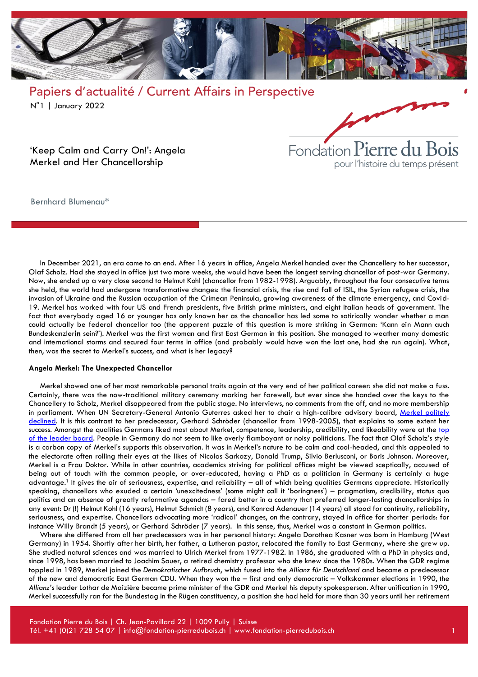



'Keep Calm and Carry On!': Angela Merkel and Her Chancellorship

Bernhard Blumenau\*

In December 2021, an era came to an end. After 16 years in office, Angela Merkel handed over the Chancellery to her successor, Olaf Scholz. Had she stayed in office just two more weeks, she would have been the longest serving chancellor of post-war Germany. Now, she ended up a very close second to Helmut Kohl (chancellor from 1982-1998). Arguably, throughout the four consecutive terms she held, the world had undergone transformative changes: the financial crisis, the rise and fall of ISIL, the Syrian refugee crisis, the invasion of Ukraine and the Russian occupation of the Crimean Peninsula, growing awareness of the climate emergency, and Covid-19. Merkel has worked with four US and French presidents, five British prime ministers, and eight Italian heads of government. The fact that everybody aged 16 or younger has only known her as the chancellor has led some to satirically wonder whether a man could actually be federal chancellor too (the apparent puzzle of this question is more striking in German: 'Kann ein Mann auch Bundeskanzler**in** sein?'). Merkel was the first woman and first East German in this position. She managed to weather many domestic and international storms and secured four terms in office (and probably would have won the last one, had she run again). What, then, was the secret to Merkel's success, and what is her legacy?

#### **Angela Merkel: The Unexpected Chancellor**

Merkel showed one of her most remarkable personal traits again at the very end of her political career: she did not make a fuss. Certainly, there was the now-traditional military ceremony marking her farewell, but ever since she handed over the keys to the Chancellery to Scholz, Merkel disappeared from the public stage. No interviews, no comments from the off, and no more membership in parliament. When UN Secretary-General Antonio Guterres asked her to chair a high-calibre advisory board, Merkel politely [declined.](https://www.dw.com/en/angela-merkel-rejects-united-nations-job-offer/a-60484922) It is this contrast to her predecessor, Gerhard Schröder (chancellor from 1998-2005), that explains to some extent her success. Amongst the qualities Germans liked most about Merkel, competence, leadership, credibility, and likeability were at the top [of the leader board.](https://de.statista.com/statistik/daten/studie/182210/umfrage/ansichten-ueber-eigenschaften-von-angela-merkel/) People in Germany do not seem to like overly flamboyant or noisy politicians. The fact that Olaf Scholz's style is a carbon copy of Merkel's supports this observation. It was in Merkel's nature to be calm and cool-headed, and this appealed to the electorate often rolling their eyes at the likes of Nicolas Sarkozy, Donald Trump, Silvio Berlusconi, or Boris Johnson. Moreover, Merkel is a Frau Doktor. While in other countries, academics striving for political offices might be viewed sceptically, accused of being out of touch with the common people, or over-educated, having a PhD as a politician in Germany is certainly a huge advantage.<sup>1</sup> It gives the air of seriousness, expertise, and reliability – all of which being qualities Germans appreciate. Historically speaking, chancellors who exuded a certain 'unexcitedness' (some might call it 'boringness') – pragmatism, credibility, status quo politics and an absence of greatly reformative agendas – fared better in a country that preferred longer-lasting chancellorships in any event: Dr (!) Helmut Kohl (16 years), Helmut Schmidt (8 years), and Konrad Adenauer (14 years) all stood for continuity, reliability, seriousness, and expertise. Chancellors advocating more 'radical' changes, on the contrary, stayed in office for shorter periods: for instance Willy Brandt (5 years), or Gerhard Schröder (7 years). In this sense, thus, Merkel was a constant in German politics.

Where she differed from all her predecessors was in her personal history: Angela Dorothea Kasner was born in Hamburg (West Germany) in 1954. Shortly after her birth, her father, a Lutheran pastor, relocated the family to East Germany, where she grew up. She studied natural sciences and was married to Ulrich Merkel from 1977-1982. In 1986, she graduated with a PhD in physics and, since 1998, has been married to Joachim Sauer, a retired chemistry professor who she knew since the 1980s. When the GDR regime toppled in 1989, Merkel joined the *Demokratischer Aufbruch*, which fused into the *Allianz für Deutschland* and became a predecessor of the new and democratic East German CDU. When they won the – first and only democratic – Volkskammer elections in 1990, the *Allianz*'s leader Lothar de Maizière became prime minister of the GDR and Merkel his deputy spokesperson. After unification in 1990, Merkel successfully ran for the Bundestag in the Rügen constituency, a position she had held for more than 30 years until her retirement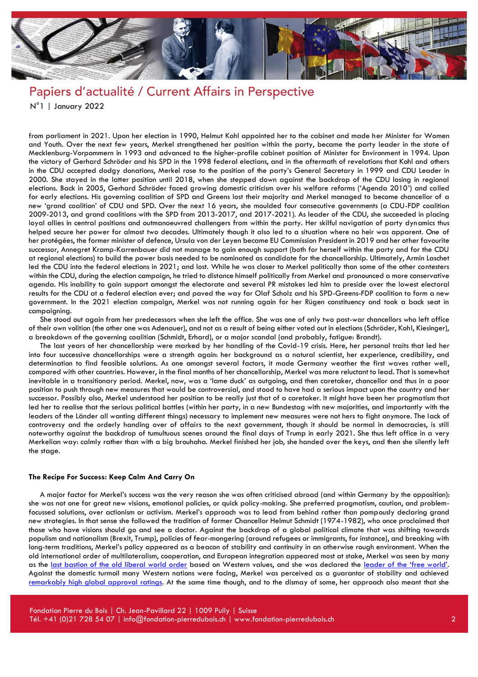

from parliament in 2021. Upon her election in 1990, Helmut Kohl appointed her to the cabinet and made her Minister for Women and Youth. Over the next few years, Merkel strengthened her position within the party, became the party leader in the state of Mecklenburg-Vorpommern in 1993 and advanced to the higher-profile cabinet position of Minister for Environment in 1994. Upon the victory of Gerhard Schröder and his SPD in the 1998 federal elections, and in the aftermath of revelations that Kohl and others in the CDU accepted dodgy donations, Merkel rose to the position of the party's General Secretary in 1999 and CDU Leader in 2000. She stayed in the latter position until 2018, when she stepped down against the backdrop of the CDU losing in regional elections. Back in 2005, Gerhard Schröder faced growing domestic criticism over his welfare reforms ('Agenda 2010') and called for early elections. His governing coalition of SPD and Greens lost their majority and Merkel managed to become chancellor of a new 'grand coalition' of CDU and SPD. Over the next 16 years, she moulded four consecutive governments (a CDU-FDP coalition 2009-2013, and grand coalitions with the SPD from 2013-2017, and 2017-2021). As leader of the CDU, she succeeded in placing loyal allies in central positions and outmanoeuvred challengers from within the party. Her skilful navigation of party dynamics thus helped secure her power for almost two decades. Ultimately though it also led to a situation where no heir was apparent. One of her protégées, the former minister of defence, Ursula von der Leyen became EU Commission President in 2019 and her other favourite successor, Annegret Kramp-Karrenbauer did not manage to gain enough support (both for herself within the party and for the CDU at regional elections) to build the power basis needed to be nominated as candidate for the chancellorship. Ultimately, Armin Laschet led the CDU into the federal elections in 2021; and lost. While he was closer to Merkel politically than some of the other contesters within the CDU, during the election campaign, he tried to distance himself politically from Merkel and pronounced a more conservative agenda. His inability to gain support amongst the electorate and several PR mistakes led him to preside over the lowest electoral results for the CDU at a federal election ever; and paved the way for Olaf Scholz and his SPD-Greens-FDP coalition to form a new government. In the 2021 election campaign, Merkel was not running again for her Rügen constituency and took a back seat in campaigning.

She stood out again from her predecessors when she left the office. She was one of only two post-war chancellors who left office of their own volition (the other one was Adenauer), and not as a result of being either voted out in elections (Schröder, Kohl, Kiesinger), a breakdown of the governing coalition (Schmidt, Erhard), or a major scandal (and probably, fatigue: Brandt).

The last years of her chancellorship were marked by her handling of the Covid-19 crisis. Here, her personal traits that led her into four successive chancellorships were a strength again: her background as a natural scientist, her experience, credibility, and determination to find feasible solutions. As one amongst several factors, it made Germany weather the first waves rather well, compared with other countries. However, in the final months of her chancellorship, Merkel was more reluctant to lead. That is somewhat inevitable in a transitionary period. Merkel, now, was a 'lame duck' as outgoing, and then caretaker, chancellor and thus in a poor position to push through new measures that would be controversial, and stood to have had a serious impact upon the country and her successor. Possibly also, Merkel understood her position to be really just that of a caretaker. It might have been her pragmatism that led her to realise that the serious political battles (within her party, in a new Bundestag with new majorities, and importantly with the leaders of the Länder all wanting different things) necessary to implement new measures were not hers to fight anymore. The lack of controversy and the orderly handing over of affairs to the next government, though it should be normal in democracies, is still noteworthy against the backdrop of tumultuous scenes around the final days of Trump in early 2021. She thus left office in a very Merkelian way: calmly rather than with a big brouhaha. Merkel finished her job, she handed over the keys, and then she silently left the stage.

#### **The Recipe For Success: Keep Calm And Carry On**

A major factor for Merkel's success was the very reason she was often criticised abroad (and within Germany by the opposition): she was not one for great new visions, emotional policies, or quick policy-making. She preferred pragmatism, caution, and problemfocussed solutions, over actionism or activism. Merkel's approach was to lead from behind rather than pompously declaring grand new strategies. In that sense she followed the tradition of former Chancellor Helmut Schmidt (1974-1982), who once proclaimed that those who have visions should go and see a doctor. Against the backdrop of a global political climate that was shifting towards populism and nationalism (Brexit, Trump), policies of fear-mongering (around refugees or immigrants, for instance), and breaking with long-term traditions, Merkel's policy appeared as a beacon of stability and continuity in an otherwise rough environment. When the old international order of multilateralism, cooperation, and European integration appeared most at stake, Merkel was seen by many as the [last bastion of the old liberal world order](https://www.nytimes.com/2016/11/13/world/europe/germany-merkel-trump-election.html) based on Western values, and she was declared the [leader of the 'free world'](https://www.independent.co.uk/voices/angela-merkel-donald-trump-democracy-freedom-of-press-a7556986.html). Against the domestic turmoil many Western nations were facing, Merkel was perceived as a guarantor of stability and achieved [remarkably high global approval ratings.](https://www.theguardian.com/world/2021/aug/26/angela-merkel-scores-higher-in-approval-ratings-than-any-current-world-leader) At the same time though, and to the dismay of some, her approach also meant that she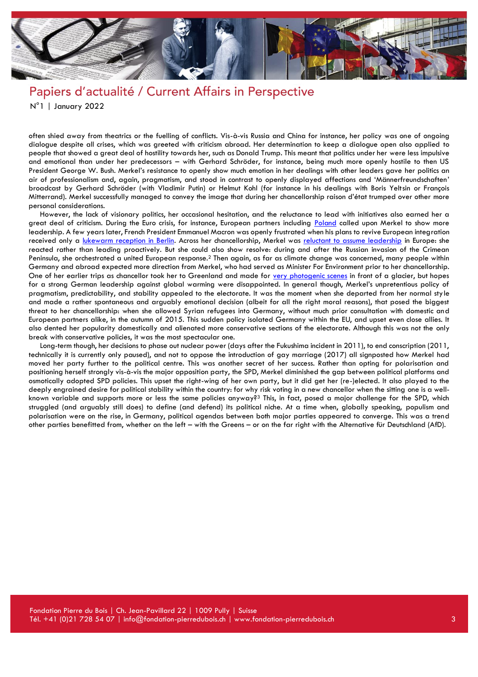

often shied away from theatrics or the fuelling of conflicts. Vis-à-vis Russia and China for instance, her policy was one of ongoing dialogue despite all crises, which was greeted with criticism abroad. Her determination to keep a dialogue open also applied to people that showed a great deal of hostility towards her, such as Donald Trump. This meant that politics under her were less impulsive and emotional than under her predecessors – with Gerhard Schröder, for instance, being much more openly hostile to then US President George W. Bush. Merkel's resistance to openly show much emotion in her dealings with other leaders gave her politics an air of professionalism and, again, pragmatism, and stood in contrast to openly displayed affections and 'Männerfreundschaften' broadcast by Gerhard Schröder (with Vladimir Putin) or Helmut Kohl (for instance in his dealings with Boris Yeltsin or François Mitterrand). Merkel successfully managed to convey the image that during her chancellorship raison d'état trumped over other more personal considerations.

However, the lack of visionary politics, her occasional hesitation, and the reluctance to lead with initiatives also earned her a great deal of criticism. During the Euro crisis, for instance, European partners including [Poland](https://www.ft.com/content/b753cb42-19b3-11e1-ba5d-00144feabdc0) called upon Merkel to show more leadership. A few years later, French President Emmanuel Macron was openly frustrated when his plans to revive European integration received only a [lukewarm reception in Berlin.](https://www.ft.com/content/2ad3d532-43f8-11e9-b168-96a37d002cd3) Across her chancellorship, Merkel was [reluctant to assume leadership](https://www.ft.com/content/faf48600-7e43-11e4-87d9-00144feabdc0?_i_location=http%3A%2F%2Fwww.ft.com%2Fcms%2Fs%2F0%2Ffaf48600-7e43-11e4-87d9-00144feabdc0.html%3Fftcamp%3Dpublished_links%2Frss%2Fcomment%2Ffeed%2F%2Fproduct%26siteedition%3Duk&_i_referer=&ftcamp=published_links/rss/comment/feed//product&siteedition=uk#axzz3QrqTf94H) in Europe: she reacted rather than leading proactively. But she could also show resolve: during and after the Russian invasion of the Crimean Peninsula, she orchestrated a united European response.<sup>2</sup> Then again, as far as climate change was concerned, many people within Germany and abroad expected more direction from Merkel, who had served as Minister For Environment prior to her chancellorship. One of her earlier trips as chancellor took her to Greenland and made for [very photogenic scenes](https://www.welt.de/wirtschaft/webwelt/article1112299/Merkel-und-Gabriel-bestaunen-die-Eisschmelze.html) in front of a glacier, but hopes for a strong German leadership against global warming were disappointed. In general though, Merkel's unpretentious policy of pragmatism, predictability, and stability appealed to the electorate. It was the moment when she departed from her normal style and made a rather spontaneous and arguably emotional decision (albeit for all the right moral reasons), that posed the biggest threat to her chancellorship: when she allowed Syrian refugees into Germany, without much prior consultation with domestic and European partners alike, in the autumn of 2015. This sudden policy isolated Germany within the EU, and upset even close allies. It also dented her popularity domestically and alienated more conservative sections of the electorate. Although this was not the only break with conservative policies, it was the most spectacular one.

Long-term though, her decisions to phase out nuclear power (days after the Fukushima incident in 2011), to end conscription (2011, technically it is currently only paused), and not to oppose the introduction of gay marriage (2017) all signposted how Merkel had moved her party further to the political centre. This was another secret of her success. Rather than opting for polarisation and positioning herself strongly vis-à-vis the major opposition party, the SPD, Merkel diminished the gap between political platforms and osmotically adopted SPD policies. This upset the right-wing of her own party, but it did get her (re-)elected. It also played to the deeply engrained desire for political stability within the country: for why risk voting in a new chancellor when the sitting one is a wellknown variable and supports more or less the same policies anyway?<sup>3</sup> This, in fact, posed a major challenge for the SPD, which struggled (and arguably still does) to define (and defend) its political niche. At a time when, globally speaking, populism and polarisation were on the rise, in Germany, political agendas between both major parties appeared to converge. This was a trend other parties benefitted from, whether on the left – with the Greens – or on the far right with the Alternative für Deutschland (AfD).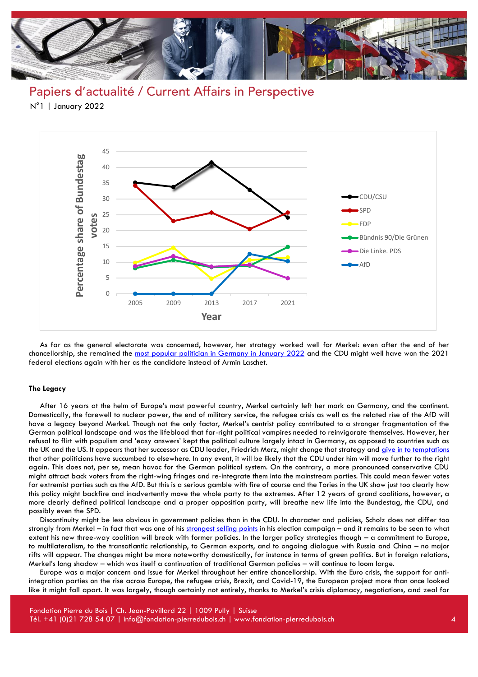

Papiers d'actualité / Current Affairs in Perspective N°1 | January 2022



As far as the general electorate was concerned, however, her strategy worked well for Merkel: even after the end of her chancellorship, she remained the [most popular politician in Germany in January 2022](https://de.statista.com/statistik/daten/studie/1817/umfrage/noten-fuer-spitzenpolitiker/) and the CDU might well have won the 2021 federal elections again with her as the candidate instead of Armin Laschet.

#### **The Legacy**

After 16 years at the helm of Europe's most powerful country, Merkel certainly left her mark on Germany, and the continent. Domestically, the farewell to nuclear power, the end of military service, the refugee crisis as well as the related rise of the AfD will have a legacy beyond Merkel. Though not the only factor, Merkel's centrist policy contributed to a stronger fragmentation of the German political landscape and was the lifeblood that far-right political vampires needed to reinvigorate themselves. However, her refusal to flirt with populism and 'easy answers' kept the political culture largely intact in Germany, as opposed to countries such as the UK and the US. It appears that her successor as CDU leader, Friedrich Merz, might change that strategy and [give in to temptations](https://www.berliner-zeitung.de/news/roettgen-warnt-cdu-vor-abdriften-in-populismus-li.198964) that other politicians have succumbed to elsewhere. In any event, it will be likely that the CDU under him will move further to the right again. This does not, per se, mean havoc for the German political system. On the contrary, a more pronounced conservative CDU might attract back voters from the right-wing fringes and re-integrate them into the mainstream parties. This could mean fewer votes for extremist parties such as the AfD. But this is a serious gamble with fire of course and the Tories in the UK show just too clearly how this policy might backfire and inadvertently move the whole party to the extremes. After 12 years of grand coalitions, however, a more clearly defined political landscape and a proper opposition party, will breathe new life into the Bundestag, the CDU, and possibly even the SPD.

Discontinuity might be less obvious in government policies than in the CDU. In character and policies, Scholz does not differ too strongly from Merkel – in fact that was one of his [strongest selling points](https://www.nzz.ch/feuilleton/olaf-scholz-kopiert-angela-merkel-im-deutschen-wahlkampf-ld.1645077?reduced=true) in his election campaign – and it remains to be seen to what extent his new three-way coalition will break with former policies. In the larger policy strategies though – a commitment to Europe, to multilateralism, to the transatlantic relationship, to German exports, and to ongoing dialogue with Russia and China – no major rifts will appear. The changes might be more noteworthy domestically, for instance in terms of green politics. But in foreign relations, Merkel's long shadow – which was itself a continuation of traditional German policies – will continue to loom large.

Europe was a major concern and issue for Merkel throughout her entire chancellorship. With the Euro crisis, the support for antiintegration parties on the rise across Europe, the refugee crisis, Brexit, and Covid-19, the European project more than once looked like it might fall apart. It was largely, though certainly not entirely, thanks to Merkel's crisis diplomacy, negotiations, and zeal for

Fondation Pierre du Bois | Ch. Jean-Pavillard 22 | 1009 Pully | Suisse Tél. +41 (0)21 728 54 07 | info@fondation-pierredubois.ch | www.fondation-pierredubois.ch 4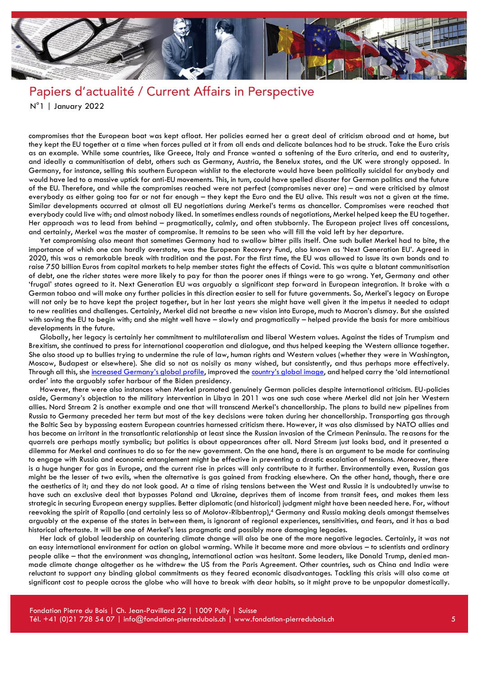

compromises that the European boat was kept afloat. Her policies earned her a great deal of criticism abroad and at home, but they kept the EU together at a time when forces pulled at it from all ends and delicate balances had to be struck. Take the Euro crisis as an example. While some countries, like Greece, Italy and France wanted a softening of the Euro criteria, and end to austerity, and ideally a communitisation of debt, others such as Germany, Austria, the Benelux states, and the UK were strongly opposed. In Germany, for instance, selling this southern European wishlist to the electorate would have been politically suicidal for anybody and would have led to a massive uptick for anti-EU movements. This, in turn, could have spelled disaster for German politics and the future of the EU. Therefore, and while the compromises reached were not perfect (compromises never are) – and were criticised by almost everybody as either going too far or not far enough – they kept the Euro and the EU alive. This result was not a given at the time. Similar developments occurred at almost all EU negotiations during Merkel's terms as chancellor. Compromises were reached that everybody could live with; and almost nobody liked. In sometimes endless rounds of negotiations, Merkel helped keep the EU together. Her approach was to lead from behind – pragmatically, calmly, and often stubbornly. The European project lives off concessions, and certainly, Merkel was the master of compromise. It remains to be seen who will fill the void left by her departure.

Yet compromising also meant that sometimes Germany had to swallow bitter pills itself. One such bullet Merkel had to bite, the importance of which one can hardly overstate, was the European Recovery Fund, also known as 'Next Generation EU'. Agreed in 2020, this was a remarkable break with tradition and the past. For the first time, the EU was allowed to issue its own bonds and to raise 750 billion Euros from capital markets to help member states fight the effects of Covid. This was quite a blatant communitisation of debt, one the richer states were more likely to pay for than the poorer ones if things were to go wrong. Yet, Germany and other 'frugal' states agreed to it. Next Generation EU was arguably a significant step forward in European integration. It broke with a German taboo and will make any further policies in this direction easier to sell for future governments. So, Merkel's legacy on Europe will not only be to have kept the project together, but in her last years she might have well given it the impetus it needed to adapt to new realities and challenges. Certainly, Merkel did not breathe a new vision into Europe, much to Macron's dismay. But she assisted with saving the EU to begin with; and she might well have – slowly and pragmatically – helped provide the basis for more ambitious developments in the future.

Globally, her legacy is certainly her commitment to multilateralism and liberal Western values. Against the tides of Trumpism and Brexitism, she continued to press for international cooperation and dialogue, and thus helped keeping the Western alliance together. She also stood up to bullies trying to undermine the rule of law, human rights and Western values (whether they were in Washington, Moscow, Budapest or elsewhere). She did so not as noisily as many wished, but consistently, and thus perhaps more effectively. Through all this, she [increased Germany's global profile](https://foreignpolicy.com/2016/11/14/the-dawn-of-pax-germanica-angela-merkel-donald-trump/), improved the [country's global image,](https://news.gallup.com/poll/327701/merkel-set-leave-office-germany-top-world.aspx) and helped carry the 'old international order' into the arguably safer harbour of the Biden presidency.

However, there were also instances when Merkel promoted genuinely German policies despite international criticism. EU-policies aside, Germany's objection to the military intervention in Libya in 2011 was one such case where Merkel did not join her Western allies. Nord Stream 2 is another example and one that will transcend Merkel's chancellorship. The plans to build new pipelines from Russia to Germany preceded her term but most of the key decisions were taken during her chancellorship. Transporting gas through the Baltic Sea by bypassing eastern European countries harnessed criticism there. However, it was also dismissed by NATO allies and has become an irritant in the transatlantic relationship at least since the Russian invasion of the Crimean Peninsula. The reasons for the quarrels are perhaps mostly symbolic; but politics is about appearances after all. Nord Stream just looks bad, and it presented a dilemma for Merkel and continues to do so for the new government. On the one hand, there is an argument to be made for continuing to engage with Russia and economic entanglement might be effective in preventing a drastic escalation of tensions. Moreover, there is a huge hunger for gas in Europe, and the current rise in prices will only contribute to it further. Environmentally even, Russian gas might be the lesser of two evils, when the alternative is gas gained from fracking elsewhere. On the other hand, though, there are the aesthetics of it; and they do not look good. At a time of rising tensions between the West and Russia it is undoubtedly unwise to have such an exclusive deal that bypasses Poland and Ukraine, deprives them of income from transit fees, and makes them less strategic in securing European energy supplies. Better diplomatic (and historical) judgment might have been needed here. For, without reevoking the spirit of Rapallo (and certainly less so of Molotov-Ribbentrop),<sup>4</sup> Germany and Russia making deals amongst themselves arguably at the expense of the states in between them, is ignorant of regional experiences, sensitivities, and fears, and it has a bad historical aftertaste. It will be one of Merkel's less pragmatic and possibly more damaging legacies.

Her lack of global leadership on countering climate change will also be one of the more negative legacies. Certainly, it was not an easy international environment for action on global warming. While it became more and more obvious – to scientists and ordinary people alike – that the environment was changing, international action was hesitant. Some leaders, like Donald Trump, denied manmade climate change altogether as he withdrew the US from the Paris Agreement. Other countries, such as China and India were reluctant to support any binding global commitments as they feared economic disadvantages. Tackling this crisis will also come at significant cost to people across the globe who will have to break with dear habits, so it might prove to be unpopular domestically.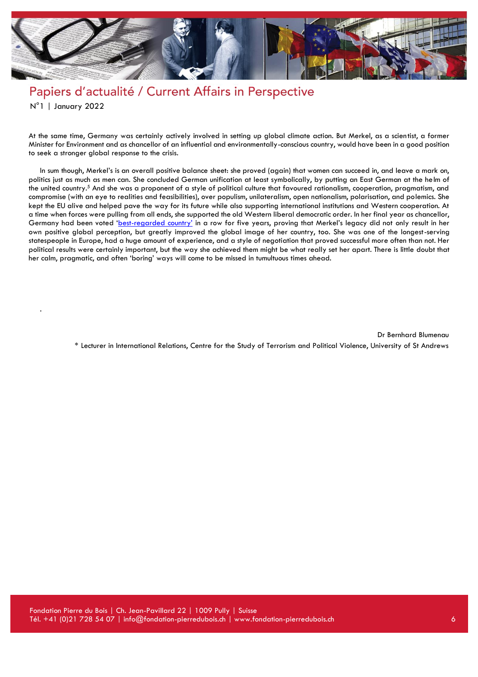

## Papiers d'actualité / Current Affairs in Perspective

N°1 | January 2022

.

At the same time, Germany was certainly actively involved in setting up global climate action. But Merkel, as a scientist, a former Minister for Environment and as chancellor of an influential and environmentally-conscious country, would have been in a good position to seek a stronger global response to the crisis.

In sum though, Merkel's is an overall positive balance sheet: she proved (again) that women can succeed in, and leave a mark on, politics just as much as men can. She concluded German unification at least symbolically, by putting an East German at the helm of the united country.<sup>5</sup> And she was a proponent of a style of political culture that favoured rationalism, cooperation, pragmatism, and compromise (with an eye to realities and feasibilities), over populism, unilateralism, open nationalism, polarisation, and polemics. She kept the EU alive and helped pave the way for its future while also supporting international institutions and Western cooperation. At a time when forces were pulling from all ends, she supported the old Western liberal democratic order. In her final year as chancellor, Germany had been voted 'best-[regarded country'](https://www.thetimes.co.uk/article/what-is-the-best-regarded-country-in-the-world-germany-apparently-as-it-claims-title-for-fifth-year-running-ddsrrgdl9) in a row for five years, proving that Merkel's legacy did not only result in her own positive global perception, but greatly improved the global image of her country, too. She was one of the longest-serving statespeople in Europe, had a huge amount of experience, and a style of negotiation that proved successful more often than not. Her political results were certainly important, but the way she achieved them might be what really set her apart. There is little doubt that her calm, pragmatic, and often 'boring' ways will come to be missed in tumultuous times ahead.

> Dr Bernhard Blumenau \* Lecturer in International Relations, Centre for the Study of Terrorism and Political Violence, University of St Andrews